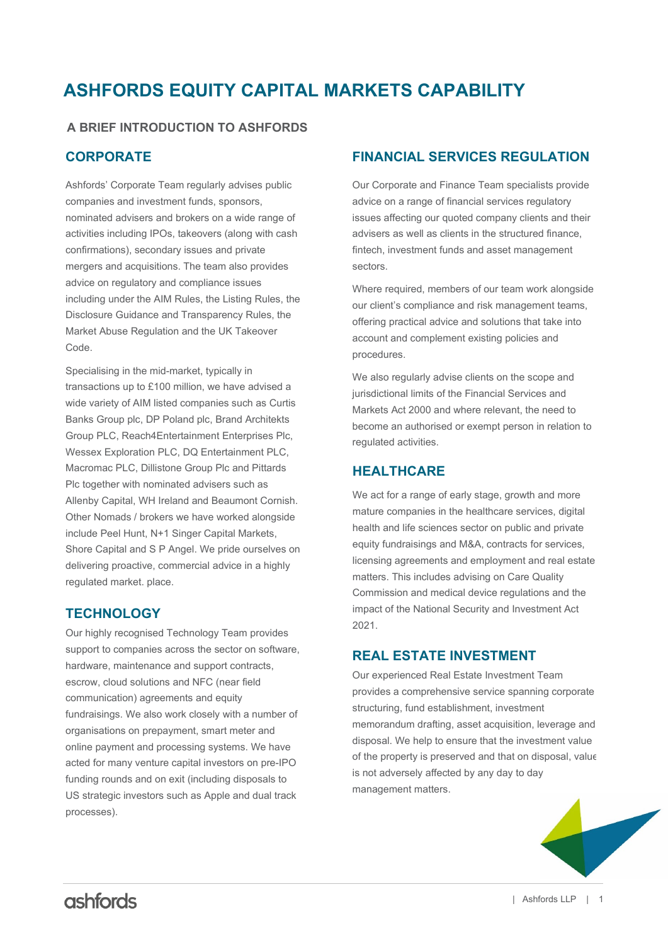# **ASHFORDS EQUITY CAPITAL MARKETS CAPABILITY**

## **A BRIEF INTRODUCTION TO ASHFORDS**

# **CORPORATE**

Ashfords' Corporate Team regularly advises public companies and investment funds, sponsors, nominated advisers and brokers on a wide range of activities including IPOs, takeovers (along with cash confirmations), secondary issues and private mergers and acquisitions. The team also provides advice on regulatory and compliance issues including under the AIM Rules, the Listing Rules, the Disclosure Guidance and Transparency Rules, the Market Abuse Regulation and the UK Takeover Code.

Specialising in the mid-market, typically in transactions up to £100 million, we have advised a wide variety of AIM listed companies such as Curtis Banks Group plc, DP Poland plc, Brand Architekts Group PLC, Reach4Entertainment Enterprises Plc, Wessex Exploration PLC, DQ Entertainment PLC, Macromac PLC, Dillistone Group Plc and Pittards Plc together with nominated advisers such as Allenby Capital, WH Ireland and Beaumont Cornish. Other Nomads / brokers we have worked alongside include Peel Hunt, N+1 Singer Capital Markets, Shore Capital and S P Angel. We pride ourselves on delivering proactive, commercial advice in a highly regulated market. place.

## **TECHNOLOGY**

Our highly recognised Technology Team provides support to companies across the sector on software, hardware, maintenance and support contracts, escrow, cloud solutions and NFC (near field communication) agreements and equity fundraisings. We also work closely with a number of organisations on prepayment, smart meter and online payment and processing systems. We have acted for many venture capital investors on pre-IPO funding rounds and on exit (including disposals to US strategic investors such as Apple and dual track processes).

## **FINANCIAL SERVICES REGULATION**

Our Corporate and Finance Team specialists provide advice on a range of financial services regulatory issues affecting our quoted company clients and their advisers as well as clients in the structured finance, fintech, investment funds and asset management sectors.

Where required, members of our team work alongside our client's compliance and risk management teams, offering practical advice and solutions that take into account and complement existing policies and procedures.

We also regularly advise clients on the scope and jurisdictional limits of the Financial Services and Markets Act 2000 and where relevant, the need to become an authorised or exempt person in relation to regulated activities.

## **HEALTHCARE**

We act for a range of early stage, growth and more mature companies in the healthcare services, digital health and life sciences sector on public and private equity fundraisings and M&A, contracts for services, licensing agreements and employment and real estate matters. This includes advising on Care Quality Commission and medical device regulations and the impact of the National Security and Investment Act 2021.

## **REAL ESTATE INVESTMENT**

Our experienced Real Estate Investment Team provides a comprehensive service spanning corporate structuring, fund establishment, investment memorandum drafting, asset acquisition, leverage and disposal. We help to ensure that the investment value of the property is preserved and that on disposal, value is not adversely affected by any day to day management matters.

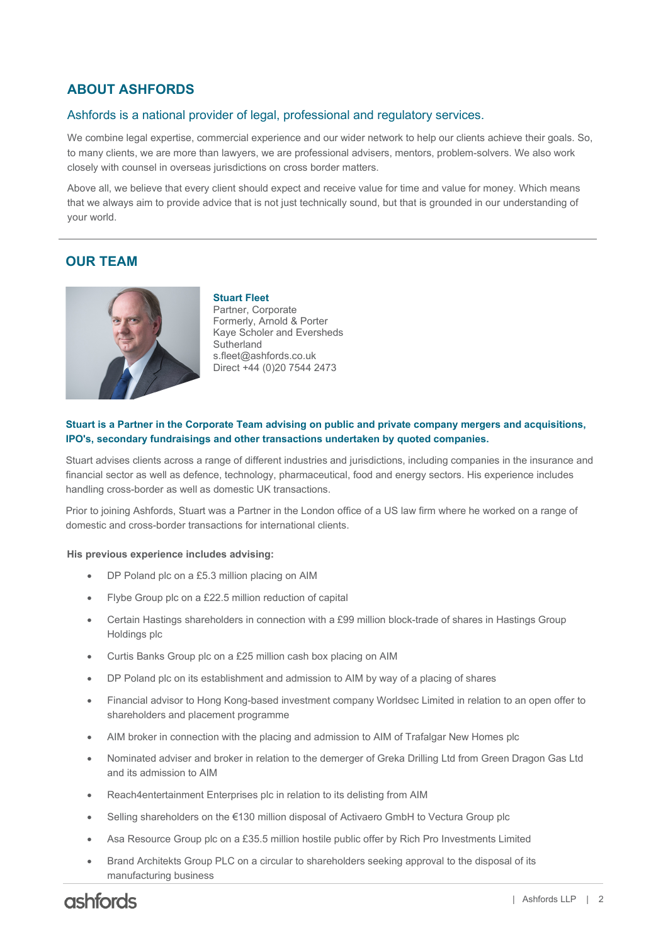# **ABOUT ASHFORDS**

### Ashfords is a national provider of legal, professional and regulatory services.

We combine legal expertise, commercial experience and our wider network to help our clients achieve their goals. So, to many clients, we are more than lawyers, we are professional advisers, mentors, problem-solvers. We also work closely with counsel in overseas jurisdictions on cross border matters.

Above all, we believe that every client should expect and receive value for time and value for money. Which means that we always aim to provide advice that is not just technically sound, but that is grounded in our understanding of your world.

## **OUR TEAM**



**Stuart Fleet** Partner, Corporate Formerly, Arnold & Porter Kaye Scholer and Eversheds **Sutherland** s.fleet@ashfords.co.uk Direct +44 (0)20 7544 2473

#### **IPO's, secondary fundraisings and other transactions undertaken by quoted companies. Stuart is a Partner in the Corporate Team advising on public and private company mergers and acquisitions,**

Stuart advises clients across a range of different industries and jurisdictions, including companies in the insurance and financial sector as well as defence, technology, pharmaceutical, food and energy sectors. His experience includes handling cross-border as well as domestic UK transactions.

Prior to joining Ashfords, Stuart was a Partner in the London office of a US law firm where he worked on a range of domestic and cross-border transactions for international clients.

#### **His previous experience includes advising:**

- DP Poland plc on a £5.3 million placing on AIM
- Flybe Group plc on a £22.5 million reduction of capital
- Certain Hastings shareholders in connection with a £99 million block-trade of shares in Hastings Group Holdings plc
- Curtis Banks Group plc on a £25 million cash box placing on AIM
- DP Poland plc on its establishment and admission to AIM by way of a placing of shares
- Financial advisor to Hong Kong-based investment company Worldsec Limited in relation to an open offer to shareholders and placement programme
- AIM broker in connection with the placing and admission to AIM of Trafalgar New Homes plc
- Nominated adviser and broker in relation to the demerger of Greka Drilling Ltd from Green Dragon Gas Ltd and its admission to AIM
- Reach4entertainment Enterprises plc in relation to its delisting from AIM
- Selling shareholders on the €130 million disposal of Activaero GmbH to Vectura Group plc
- Asa Resource Group plc on a £35.5 million hostile public offer by Rich Pro Investments Limited
- Brand Architekts Group PLC on a circular to shareholders seeking approval to the disposal of its manufacturing business